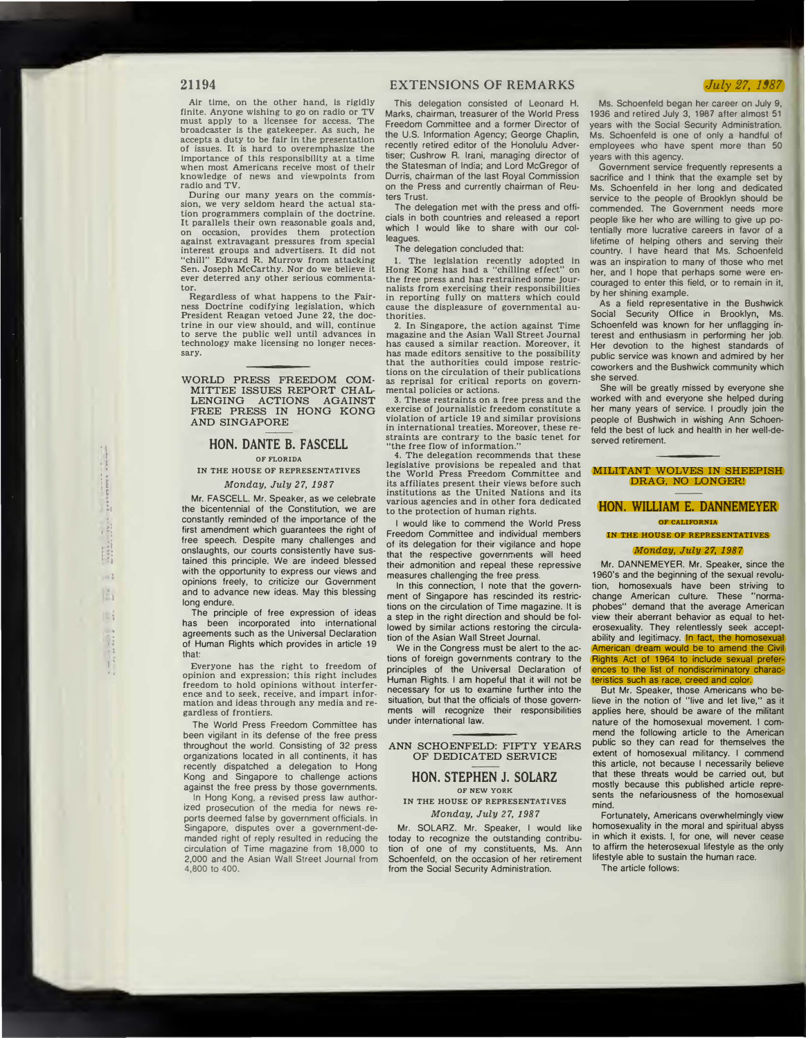## **21194**

Air time, on the other hand, Is rigidly finite. Anyone wishing to go on radio or TV must apply to a licensee for access. The broadcaster Is the gatekeeper. As such, he accepts a duty to be fair In the presentation of issues. It is hard to overemphasize the Importance of this responsibility at a time when most Americans receive most of their knowledge of news and viewpoints from radio and TV.

During our many years on the commission, we very seldom heard the actual station programmers complain of the doctrine. It parallels their own reasonable goals and, occasion, provides them protection against extravagant pressures from special interest groups and advertisers. It did not "chill" Edward R. Murrow from attacking Sen. Joseph McCarthy. Nor do we believe it ever deterred any other serious commentator.

Regardless of what happens to the Fairness Doctrine codifying legislation, which President Reagan vetoed June 22, the doctrine in our view should, and will, continue to serve the public well until advances in technology make licensing no longer necessary.

**WORLD PRESS FREEDOM COM-MITTEE ISSUES REPORT CHAL-LENGING ACTIONS AGAINST FREE PRESS IN HONG KONG AND SINGAPORE** 

# **HON. DANTE B. FASCELL**

# **OF FLORIDA IN THE HOUSE OF REPRESENTATIVES**

*Monday, July 27, 1987* 

Mr. FASCELL. Mr. Speaker, as we celebrate the bicentennial of the Constitution, we are constantly reminded of the importance of the first amendment which guarantees the right of free speech. Despite many challenges and onslaughts, our courts consistently have sustained this principle. We are indeed blessed with the opportunity to express our views and opinions freely, to criticize our Government and to advance new ideas. May this blessing long endure.

The principle of free expression of ideas has been incorporated into international agreements such as the Universal Declaration of Human Rights which provides in article 19 that:

Everyone has the right to freedom of opinion and expression; this right includes freedom to hold opinions without interference and to seek, receive, and impart information and ideas through any media and regardless of frontiers.

The World Press Freedom Committee has been vigilant in its defense of the free press throughout the world. Consisting of 32 press organizations located in all continents, it has recently dispatched a delegation to Hong Kong and Singapore to challenge actions against the free press by those governments.

In Hong Kong, a revised press law authorized prosecution of the media for news reports deemed false by government officials. In Singapore, disputes over a government-demanded right of reply resulted in reducing the circulation of Time magazine from 18,000 to 2,000 and the Asian Wall Street Journal from 4,800 to 400.

## **EXTENSIONS OF REMARKS**

This delegation consisted of Leonard H. Marks, chairman, treasurer of the World Press Freedom Committee and a former Director of the U.S. Information Agency; George Chaplin, recently retired editor of the Honolulu Advertiser; Cushrow R. Irani, managing director of the Statesman of India; and Lord McGregor of Durris, chairman of the last Royal Commission on the Press and currently chairman of Reuters Trust.

The delegation met with the press and officials in both countries and released a report which I would like to share with our colleagues.

The delegation concluded that:

1. The legislation recently adopted In Hong Kong has had a "chilling effect" on the free press and has restrained some Journalists from exercising their responsibilities in reporting fully on matters which could cause the displeasure of governmental authorities.

2. In Singapore, the action against Time magazine and the Asian Wall Street Journal has caused a similar reaction. Moreover, it has made editors sensitive to the possibility that the authorities could impose restrictions on the circulation of their publications as reprisal for critical reports on governmental policies or actions.

3. These restraints on a free press and the exercise of journalistic freedom constitute a violation of article 19 and similar provisions in international treaties. Moreover, these restraints are contrary to the basic tenet for "the free flow of information."

4. The delegation recommends that these legislative provisions be repealed and that the World Press Freedom Committee and its affiliates present their views before such institutions as the United Nations and its various agencies and in other fora dedicated to the protection of human rights.

I would like to commend the World Press Freedom Committee and individual members of its delegation for their vigilance and hope that the respective governments will heed their admonition and repeal these repressive measures challenging the free press.

In this connection, I note that the government of Singapore has rescinded its restrictions on the circulation of Time magazine. It is a step in the right direction and should be followed by similar actions restoring the circulation of the Asian Wall Street Journal.

We in the Congress must be alert to the actions of foreign governments contrary to the principles of the Universal Declaration of Human Rights. I am hopeful that it will not be necessary for us to examine further into the situation, but that the officials of those governments will recognize their responsibilities under international law.

#### **ANN SCHOENFELD: FIFTY YEARS OF DEDICATED SERVICE**

#### **HON. STEPHEN J. SOLARZ OF NEW YORK**

**IN THE HOUSE OF REPRESENTATIVES**  *Monday, July 27, 1987* 

Mr. SOLARZ. Mr. Speaker, I would like today to recognize the outstanding contribution of one of my constituents, Ms. Ann Schoenfeld, on the occasion of her retirement from the Social Security Administration.

#### *,July 27, 1987*

Ms. Schoenfeld began her career on July 9, 1936 and retired July 3, 1987 after almost 51 years with the Social Security Administration. Ms. Schoenfeld is one of only a handful of employees who have spent more than 50 years with this agency.

Government service frequently represents a sacrifice and I think that the example set by Ms. Schoenfeld in her long and dedicated service to the people of Brooklyn should be commended. The Government needs more people like her who are willing to give up potentially more lucrative careers in favor of a lifetime of helping others and serving their country. I have heard that Ms. Schoenfeld was an inspiration to many of those who met her, and I hope that perhaps some were encouraged to enter this field, or to remain in it, by her shining example.

As a field representative in the Bushwick Social Security Office in Brooklyn, Ms. Schoenfeld was known for her unflagging interest and enthusiasm in performing her job. Her devotion to the highest standards of public service was known and admired by her coworkers and the Bushwick community which she served.

She will be greatly missed by everyone she worked with and everyone she helped during her many years of service. I proudly join the people of Bushwich in wishing Ann Schoenfeld the best of luck and health in her well-deserved retirement.

#### **MILITANT WOLVES IN SHEEPISH**  DRAG, NO LONGER!

## **HON. WILLIAM E. DANNEMEYER**

**OF CALIFORNIA IN THE HOUSE OF REPRESENTATIVES** 

## *Monday, July 27, 1987*

Mr. DANNEMEYER. Mr. Speaker, since the 1960's and the beginning of the sexual revolution, homosexuals have been striving to change American culture. These "normaphobes" demand that the average American view their aberrant behavior as equal to heterosexuality. They relentlessly seek acceptability and legitimacy. In fact, the homosexual American dream would be to amend the Civil Rights Act of 1964 to include sexual preferences to the list of nondiscriminatory characcs such as race, creed and colo

But Mr. Speaker, those Americans who believe in the notion of "live and let live," as it applies here, should be aware of the militant nature of the homosexual movement. I commend the following article to the American public so they can read for themselves the extent of homosexual militancy. I commend this article, not because I necessarily believe that these threats would be carried out, but mostly because this published article represents the nefariousness of the homosexual mind.

Fortunately, Americans overwhelmingly view homosexuality in the moral and spiritual abyss in which it exists. I, for one, will never cease to affirm the heterosexual lifestyle as the only lifestyle able to sustain the human race.

The article follows: